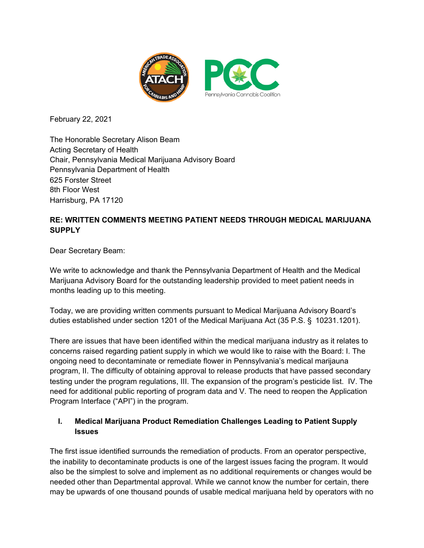

February 22, 2021

The Honorable Secretary Alison Beam Acting Secretary of Health Chair, Pennsylvania Medical Marijuana Advisory Board Pennsylvania Department of Health 625 Forster Street 8th Floor West Harrisburg, PA 17120

## **RE: WRITTEN COMMENTS MEETING PATIENT NEEDS THROUGH MEDICAL MARIJUANA SUPPLY**

Dear Secretary Beam:

We write to acknowledge and thank the Pennsylvania Department of Health and the Medical Marijuana Advisory Board for the outstanding leadership provided to meet patient needs in months leading up to this meeting.

Today, we are providing written comments pursuant to Medical Marijuana Advisory Board's duties established under section 1201 of the Medical Marijuana Act (35 P.S. § 10231.1201).

There are issues that have been identified within the medical marijuana industry as it relates to concerns raised regarding patient supply in which we would like to raise with the Board: I. The ongoing need to decontaminate or remediate flower in Pennsylvania's medical marijauna program, II. The difficulty of obtaining approval to release products that have passed secondary testing under the program regulations, III. The expansion of the program's pesticide list. IV. The need for additional public reporting of program data and V. The need to reopen the Application Program Interface ("API") in the program.

## **I. Medical Marijuana Product Remediation Challenges Leading to Patient Supply Issues**

The first issue identified surrounds the remediation of products. From an operator perspective, the inability to decontaminate products is one of the largest issues facing the program. It would also be the simplest to solve and implement as no additional requirements or changes would be needed other than Departmental approval. While we cannot know the number for certain, there may be upwards of one thousand pounds of usable medical marijuana held by operators with no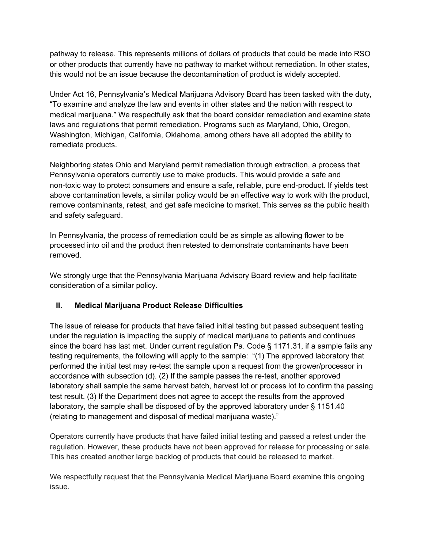pathway to release. This represents millions of dollars of products that could be made into RSO or other products that currently have no pathway to market without remediation. In other states, this would not be an issue because the decontamination of product is widely accepted.

Under Act 16, Pennsylvania's Medical Marijuana Advisory Board has been tasked with the duty, "To examine and analyze the law and events in other states and the nation with respect to medical marijuana." We respectfully ask that the board consider remediation and examine state laws and regulations that permit remediation. Programs such as Maryland, Ohio, Oregon, Washington, Michigan, California, Oklahoma, among others have all adopted the ability to remediate products.

Neighboring states Ohio and Maryland permit remediation through extraction, a process that Pennsylvania operators currently use to make products. This would provide a safe and non-toxic way to protect consumers and ensure a safe, reliable, pure end-product. If yields test above contamination levels, a similar policy would be an effective way to work with the product, remove contaminants, retest, and get safe medicine to market. This serves as the public health and safety safeguard.

In Pennsylvania, the process of remediation could be as simple as allowing flower to be processed into oil and the product then retested to demonstrate contaminants have been removed.

We strongly urge that the Pennsylvania Marijuana Advisory Board review and help facilitate consideration of a similar policy.

# **II. Medical Marijuana Product Release Difficulties**

The issue of release for products that have failed initial testing but passed subsequent testing under the regulation is impacting the supply of medical marijuana to patients and continues since the board has last met. Under current regulation Pa. Code § 1171.31, if a sample fails any testing requirements, the following will apply to the sample: "(1) The approved laboratory that performed the initial test may re-test the sample upon a request from the grower/processor in accordance with subsection (d). (2) If the sample passes the re-test, another approved laboratory shall sample the same harvest batch, harvest lot or process lot to confirm the passing test result. (3) If the Department does not agree to accept the results from the approved laboratory, the sample shall be disposed of by the approved laboratory under § 1151.40 (relating to management and disposal of medical marijuana waste)."

Operators currently have products that have failed initial testing and passed a retest under the regulation. However, these products have not been approved for release for processing or sale. This has created another large backlog of products that could be released to market.

We respectfully request that the Pennsylvania Medical Marijuana Board examine this ongoing issue.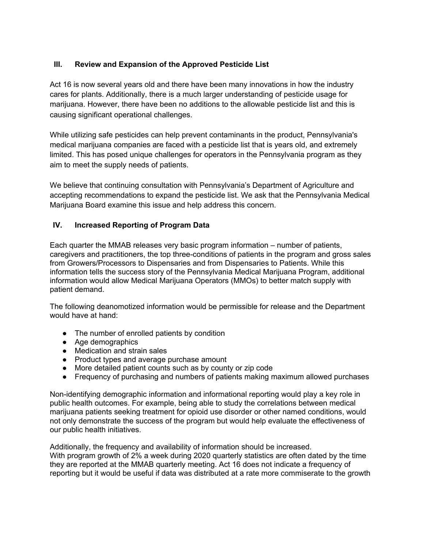## **III. Review and Expansion of the Approved Pesticide List**

Act 16 is now several years old and there have been many innovations in how the industry cares for plants. Additionally, there is a much larger understanding of pesticide usage for marijuana. However, there have been no additions to the allowable pesticide list and this is causing significant operational challenges.

While utilizing safe pesticides can help prevent contaminants in the product, Pennsylvania's medical marijuana companies are faced with a pesticide list that is years old, and extremely limited. This has posed unique challenges for operators in the Pennsylvania program as they aim to meet the supply needs of patients.

We believe that continuing consultation with Pennsylvania's Department of Agriculture and accepting recommendations to expand the pesticide list. We ask that the Pennsylvania Medical Marijuana Board examine this issue and help address this concern.

#### **IV. Increased Reporting of Program Data**

Each quarter the MMAB releases very basic program information – number of patients, caregivers and practitioners, the top three-conditions of patients in the program and gross sales from Growers/Processors to Dispensaries and from Dispensaries to Patients. While this information tells the success story of the Pennsylvania Medical Marijuana Program, additional information would allow Medical Marijuana Operators (MMOs) to better match supply with patient demand.

The following deanomotized information would be permissible for release and the Department would have at hand:

- The number of enrolled patients by condition
- Age demographics
- Medication and strain sales
- Product types and average purchase amount
- More detailed patient counts such as by county or zip code
- Frequency of purchasing and numbers of patients making maximum allowed purchases

Non-identifying demographic information and informational reporting would play a key role in public health outcomes. For example, being able to study the correlations between medical marijuana patients seeking treatment for opioid use disorder or other named conditions, would not only demonstrate the success of the program but would help evaluate the effectiveness of our public health initiatives.

Additionally, the frequency and availability of information should be increased. With program growth of 2% a week during 2020 quarterly statistics are often dated by the time they are reported at the MMAB quarterly meeting. Act 16 does not indicate a frequency of reporting but it would be useful if data was distributed at a rate more commiserate to the growth